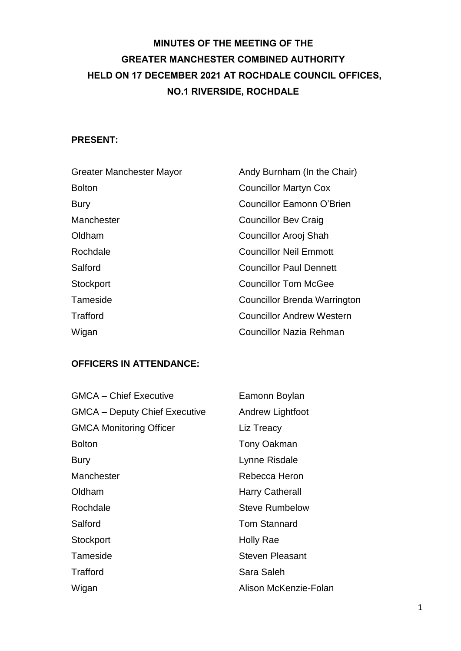# **MINUTES OF THE MEETING OF THE GREATER MANCHESTER COMBINED AUTHORITY HELD ON 17 DECEMBER 2021 AT ROCHDALE COUNCIL OFFICES, NO.1 RIVERSIDE, ROCHDALE**

#### **PRESENT:**

| Greater Manchester Mayor | Andy Burnham (In the Chair)         |
|--------------------------|-------------------------------------|
| <b>Bolton</b>            | <b>Councillor Martyn Cox</b>        |
| <b>Bury</b>              | <b>Councillor Eamonn O'Brien</b>    |
| Manchester               | <b>Councillor Bev Craig</b>         |
| Oldham                   | Councillor Arooj Shah               |
| Rochdale                 | <b>Councillor Neil Emmott</b>       |
| Salford                  | <b>Councillor Paul Dennett</b>      |
| Stockport                | Councillor Tom McGee                |
| Tameside                 | <b>Councillor Brenda Warrington</b> |
| Trafford                 | <b>Councillor Andrew Western</b>    |
| Wigan                    | Councillor Nazia Rehman             |

### **OFFICERS IN ATTENDANCE:**

| <b>GMCA - Chief Executive</b>        | Eamonn Boylan           |
|--------------------------------------|-------------------------|
| <b>GMCA - Deputy Chief Executive</b> | <b>Andrew Lightfoot</b> |
| <b>GMCA Monitoring Officer</b>       | Liz Treacy              |
| <b>Bolton</b>                        | Tony Oakman             |
| <b>Bury</b>                          | Lynne Risdale           |
| Manchester                           | Rebecca Heron           |
| Oldham                               | Harry Catherall         |
| Rochdale                             | <b>Steve Rumbelow</b>   |
| Salford                              | <b>Tom Stannard</b>     |
| Stockport                            | Holly Rae               |
| Tameside                             | <b>Steven Pleasant</b>  |
| Trafford                             | Sara Saleh              |
| Wigan                                | Alison McKenzie-Folan   |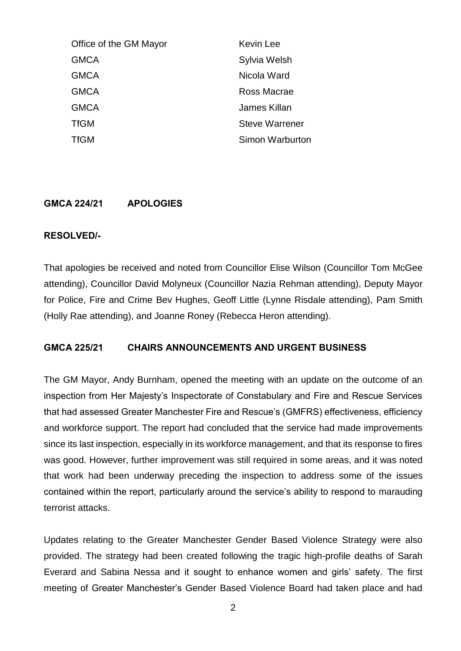| Office of the GM Mayor | <b>Kevin Lee</b>      |
|------------------------|-----------------------|
| <b>GMCA</b>            | Sylvia Welsh          |
| <b>GMCA</b>            | Nicola Ward           |
| <b>GMCA</b>            | Ross Macrae           |
| <b>GMCA</b>            | James Killan          |
| <b>TfGM</b>            | <b>Steve Warrener</b> |
| <b>TfGM</b>            | Simon Warburton       |
|                        |                       |

#### **GMCA 224/21 APOLOGIES**

#### **RESOLVED/-**

That apologies be received and noted from Councillor Elise Wilson (Councillor Tom McGee attending), Councillor David Molyneux (Councillor Nazia Rehman attending), Deputy Mayor for Police, Fire and Crime Bev Hughes, Geoff Little (Lynne Risdale attending), Pam Smith (Holly Rae attending), and Joanne Roney (Rebecca Heron attending).

#### **GMCA 225/21 CHAIRS ANNOUNCEMENTS AND URGENT BUSINESS**

The GM Mayor, Andy Burnham, opened the meeting with an update on the outcome of an inspection from Her Majesty's Inspectorate of Constabulary and Fire and Rescue Services that had assessed Greater Manchester Fire and Rescue's (GMFRS) effectiveness, efficiency and workforce support. The report had concluded that the service had made improvements since its last inspection, especially in its workforce management, and that its response to fires was good. However, further improvement was still required in some areas, and it was noted that work had been underway preceding the inspection to address some of the issues contained within the report, particularly around the service's ability to respond to marauding terrorist attacks.

Updates relating to the Greater Manchester Gender Based Violence Strategy were also provided. The strategy had been created following the tragic high-profile deaths of Sarah Everard and Sabina Nessa and it sought to enhance women and girls' safety. The first meeting of Greater Manchester's Gender Based Violence Board had taken place and had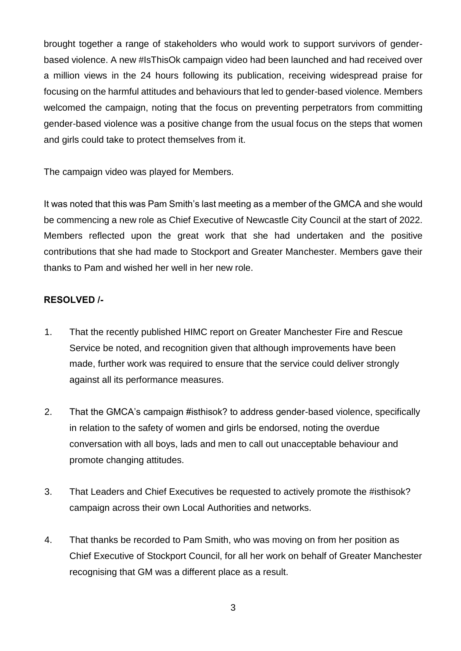brought together a range of stakeholders who would work to support survivors of genderbased violence. A new #IsThisOk campaign video had been launched and had received over a million views in the 24 hours following its publication, receiving widespread praise for focusing on the harmful attitudes and behaviours that led to gender-based violence. Members welcomed the campaign, noting that the focus on preventing perpetrators from committing gender-based violence was a positive change from the usual focus on the steps that women and girls could take to protect themselves from it.

The campaign video was played for Members.

It was noted that this was Pam Smith's last meeting as a member of the GMCA and she would be commencing a new role as Chief Executive of Newcastle City Council at the start of 2022. Members reflected upon the great work that she had undertaken and the positive contributions that she had made to Stockport and Greater Manchester. Members gave their thanks to Pam and wished her well in her new role.

- 1. That the recently published HIMC report on Greater Manchester Fire and Rescue Service be noted, and recognition given that although improvements have been made, further work was required to ensure that the service could deliver strongly against all its performance measures.
- 2. That the GMCA's campaign #isthisok? to address gender-based violence, specifically in relation to the safety of women and girls be endorsed, noting the overdue conversation with all boys, lads and men to call out unacceptable behaviour and promote changing attitudes.
- 3. That Leaders and Chief Executives be requested to actively promote the #isthisok? campaign across their own Local Authorities and networks.
- 4. That thanks be recorded to Pam Smith, who was moving on from her position as Chief Executive of Stockport Council, for all her work on behalf of Greater Manchester recognising that GM was a different place as a result.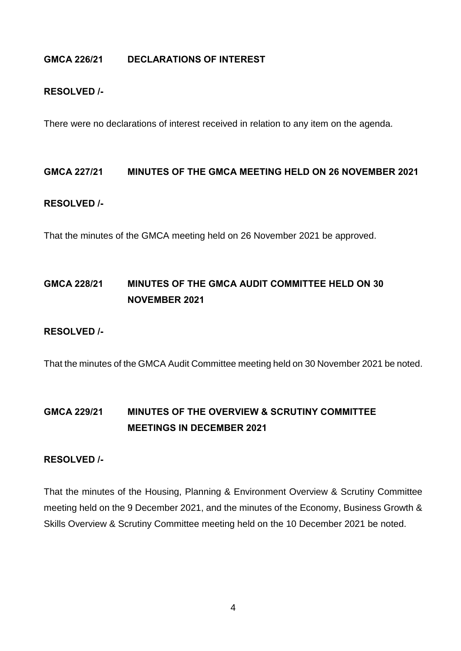#### **GMCA 226/21 DECLARATIONS OF INTEREST**

#### **RESOLVED /-**

There were no declarations of interest received in relation to any item on the agenda.

#### **GMCA 227/21 MINUTES OF THE GMCA MEETING HELD ON 26 NOVEMBER 2021**

#### **RESOLVED /-**

That the minutes of the GMCA meeting held on 26 November 2021 be approved.

## **GMCA 228/21 MINUTES OF THE GMCA AUDIT COMMITTEE HELD ON 30 NOVEMBER 2021**

#### **RESOLVED /-**

That the minutes of the GMCA Audit Committee meeting held on 30 November 2021 be noted.

# **GMCA 229/21 MINUTES OF THE OVERVIEW & SCRUTINY COMMITTEE MEETINGS IN DECEMBER 2021**

#### **RESOLVED /-**

That the minutes of the Housing, Planning & Environment Overview & Scrutiny Committee meeting held on the 9 December 2021, and the minutes of the Economy, Business Growth & Skills Overview & Scrutiny Committee meeting held on the 10 December 2021 be noted.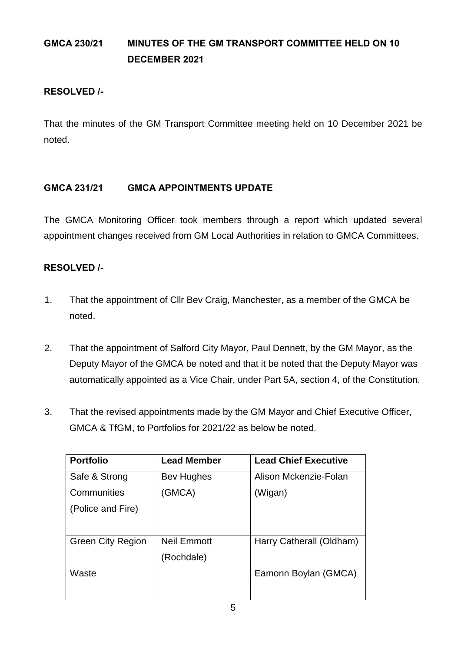# **GMCA 230/21 MINUTES OF THE GM TRANSPORT COMMITTEE HELD ON 10 DECEMBER 2021**

### **RESOLVED /-**

That the minutes of the GM Transport Committee meeting held on 10 December 2021 be noted.

## **GMCA 231/21 GMCA APPOINTMENTS UPDATE**

The GMCA Monitoring Officer took members through a report which updated several appointment changes received from GM Local Authorities in relation to GMCA Committees.

- 1. That the appointment of Cllr Bev Craig, Manchester, as a member of the GMCA be noted.
- 2. That the appointment of Salford City Mayor, Paul Dennett, by the GM Mayor, as the Deputy Mayor of the GMCA be noted and that it be noted that the Deputy Mayor was automatically appointed as a Vice Chair, under Part 5A, section 4, of the Constitution.
- 3. That the revised appointments made by the GM Mayor and Chief Executive Officer, GMCA & TfGM, to Portfolios for 2021/22 as below be noted.

| <b>Portfolio</b>         | <b>Lead Member</b> | <b>Lead Chief Executive</b> |
|--------------------------|--------------------|-----------------------------|
| Safe & Strong            | Bev Hughes         | Alison Mckenzie-Folan       |
| Communities              | (GMCA)             | (Wigan)                     |
| (Police and Fire)        |                    |                             |
|                          |                    |                             |
| <b>Green City Region</b> | <b>Neil Emmott</b> | Harry Catherall (Oldham)    |
|                          | (Rochdale)         |                             |
| Waste                    |                    | Eamonn Boylan (GMCA)        |
|                          |                    |                             |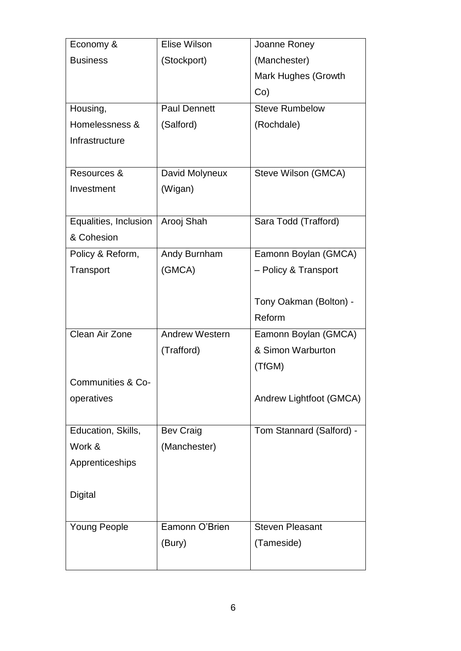| Economy &             | Elise Wilson          | Joanne Roney             |
|-----------------------|-----------------------|--------------------------|
| <b>Business</b>       | (Stockport)           | (Manchester)             |
|                       |                       | Mark Hughes (Growth      |
|                       |                       | $Co$ )                   |
| Housing,              | <b>Paul Dennett</b>   | <b>Steve Rumbelow</b>    |
| Homelessness &        | (Salford)             | (Rochdale)               |
| Infrastructure        |                       |                          |
|                       |                       |                          |
| Resources &           | David Molyneux        | Steve Wilson (GMCA)      |
| Investment            | (Wigan)               |                          |
|                       |                       |                          |
| Equalities, Inclusion | Arooj Shah            | Sara Todd (Trafford)     |
| & Cohesion            |                       |                          |
| Policy & Reform,      | Andy Burnham          | Eamonn Boylan (GMCA)     |
| Transport             | (GMCA)                | - Policy & Transport     |
|                       |                       |                          |
|                       |                       | Tony Oakman (Bolton) -   |
|                       |                       | Reform                   |
| Clean Air Zone        | <b>Andrew Western</b> | Eamonn Boylan (GMCA)     |
|                       | (Trafford)            | & Simon Warburton        |
|                       |                       | (TfGM)                   |
| Communities & Co-     |                       |                          |
| operatives            |                       | Andrew Lightfoot (GMCA)  |
|                       |                       |                          |
| Education, Skills,    | <b>Bev Craig</b>      | Tom Stannard (Salford) - |
| Work &                | (Manchester)          |                          |
| Apprenticeships       |                       |                          |
|                       |                       |                          |
| <b>Digital</b>        |                       |                          |
|                       |                       |                          |
| <b>Young People</b>   | Eamonn O'Brien        | <b>Steven Pleasant</b>   |
|                       | (Bury)                | (Tameside)               |
|                       |                       |                          |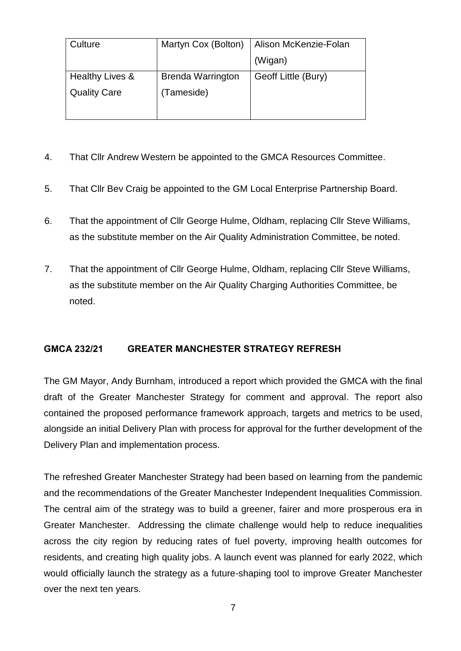| Culture             | Martyn Cox (Bolton)      | Alison McKenzie-Folan |
|---------------------|--------------------------|-----------------------|
|                     |                          | (Wigan)               |
| Healthy Lives &     | <b>Brenda Warrington</b> | Geoff Little (Bury)   |
| <b>Quality Care</b> | (Tameside)               |                       |

- 4. That Cllr Andrew Western be appointed to the GMCA Resources Committee.
- 5. That Cllr Bev Craig be appointed to the GM Local Enterprise Partnership Board.
- 6. That the appointment of Cllr George Hulme, Oldham, replacing Cllr Steve Williams, as the substitute member on the Air Quality Administration Committee, be noted.
- 7. That the appointment of Cllr George Hulme, Oldham, replacing Cllr Steve Williams, as the substitute member on the Air Quality Charging Authorities Committee, be noted.

### **GMCA 232/21 GREATER MANCHESTER STRATEGY REFRESH**

The GM Mayor, Andy Burnham, introduced a report which provided the GMCA with the final draft of the Greater Manchester Strategy for comment and approval. The report also contained the proposed performance framework approach, targets and metrics to be used, alongside an initial Delivery Plan with process for approval for the further development of the Delivery Plan and implementation process.

The refreshed Greater Manchester Strategy had been based on learning from the pandemic and the recommendations of the Greater Manchester Independent Inequalities Commission. The central aim of the strategy was to build a greener, fairer and more prosperous era in Greater Manchester. Addressing the climate challenge would help to reduce inequalities across the city region by reducing rates of fuel poverty, improving health outcomes for residents, and creating high quality jobs. A launch event was planned for early 2022, which would officially launch the strategy as a future-shaping tool to improve Greater Manchester over the next ten years.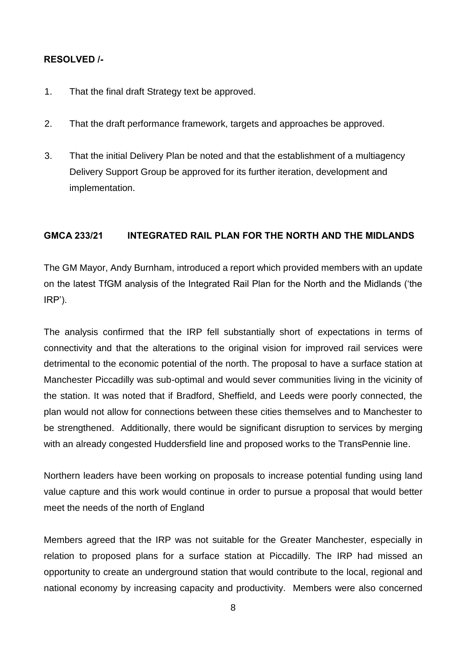#### **RESOLVED /-**

- 1. That the final draft Strategy text be approved.
- 2. That the draft performance framework, targets and approaches be approved.
- 3. That the initial Delivery Plan be noted and that the establishment of a multiagency Delivery Support Group be approved for its further iteration, development and implementation.

#### **GMCA 233/21 INTEGRATED RAIL PLAN FOR THE NORTH AND THE MIDLANDS**

The GM Mayor, Andy Burnham, introduced a report which provided members with an update on the latest TfGM analysis of the Integrated Rail Plan for the North and the Midlands ('the IRP').

The analysis confirmed that the IRP fell substantially short of expectations in terms of connectivity and that the alterations to the original vision for improved rail services were detrimental to the economic potential of the north. The proposal to have a surface station at Manchester Piccadilly was sub-optimal and would sever communities living in the vicinity of the station. It was noted that if Bradford, Sheffield, and Leeds were poorly connected, the plan would not allow for connections between these cities themselves and to Manchester to be strengthened. Additionally, there would be significant disruption to services by merging with an already congested Huddersfield line and proposed works to the TransPennie line.

Northern leaders have been working on proposals to increase potential funding using land value capture and this work would continue in order to pursue a proposal that would better meet the needs of the north of England

Members agreed that the IRP was not suitable for the Greater Manchester, especially in relation to proposed plans for a surface station at Piccadilly. The IRP had missed an opportunity to create an underground station that would contribute to the local, regional and national economy by increasing capacity and productivity. Members were also concerned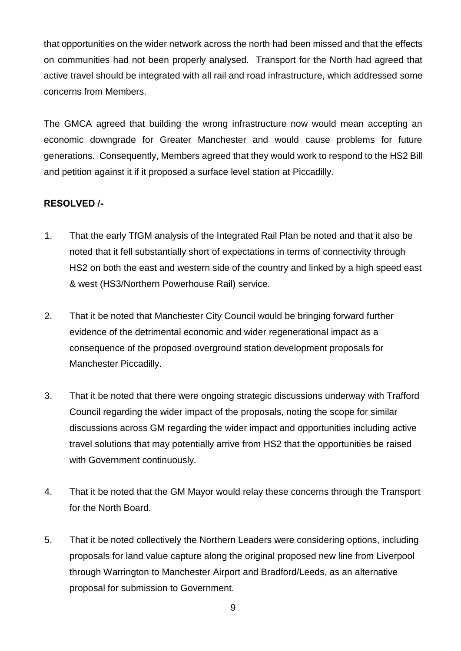that opportunities on the wider network across the north had been missed and that the effects on communities had not been properly analysed. Transport for the North had agreed that active travel should be integrated with all rail and road infrastructure, which addressed some concerns from Members.

The GMCA agreed that building the wrong infrastructure now would mean accepting an economic downgrade for Greater Manchester and would cause problems for future generations. Consequently, Members agreed that they would work to respond to the HS2 Bill and petition against it if it proposed a surface level station at Piccadilly.

- 1. That the early TfGM analysis of the Integrated Rail Plan be noted and that it also be noted that it fell substantially short of expectations in terms of connectivity through HS2 on both the east and western side of the country and linked by a high speed east & west (HS3/Northern Powerhouse Rail) service.
- 2. That it be noted that Manchester City Council would be bringing forward further evidence of the detrimental economic and wider regenerational impact as a consequence of the proposed overground station development proposals for Manchester Piccadilly.
- 3. That it be noted that there were ongoing strategic discussions underway with Trafford Council regarding the wider impact of the proposals, noting the scope for similar discussions across GM regarding the wider impact and opportunities including active travel solutions that may potentially arrive from HS2 that the opportunities be raised with Government continuously.
- 4. That it be noted that the GM Mayor would relay these concerns through the Transport for the North Board.
- 5. That it be noted collectively the Northern Leaders were considering options, including proposals for land value capture along the original proposed new line from Liverpool through Warrington to Manchester Airport and Bradford/Leeds, as an alternative proposal for submission to Government.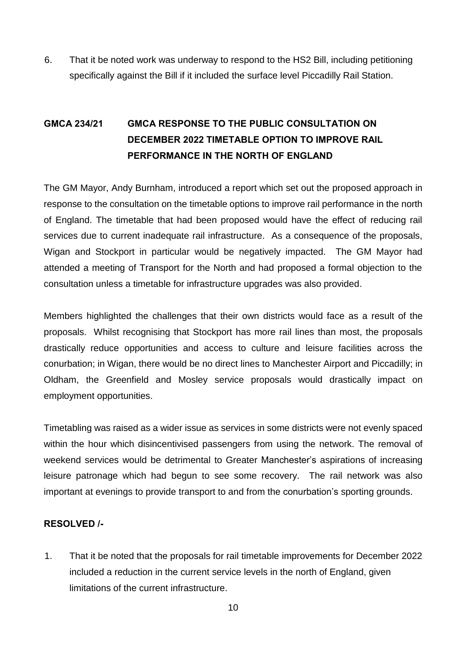6. That it be noted work was underway to respond to the HS2 Bill, including petitioning specifically against the Bill if it included the surface level Piccadilly Rail Station.

# **GMCA 234/21 GMCA RESPONSE TO THE PUBLIC CONSULTATION ON DECEMBER 2022 TIMETABLE OPTION TO IMPROVE RAIL PERFORMANCE IN THE NORTH OF ENGLAND**

The GM Mayor, Andy Burnham, introduced a report which set out the proposed approach in response to the consultation on the timetable options to improve rail performance in the north of England. The timetable that had been proposed would have the effect of reducing rail services due to current inadequate rail infrastructure. As a consequence of the proposals, Wigan and Stockport in particular would be negatively impacted. The GM Mayor had attended a meeting of Transport for the North and had proposed a formal objection to the consultation unless a timetable for infrastructure upgrades was also provided.

Members highlighted the challenges that their own districts would face as a result of the proposals. Whilst recognising that Stockport has more rail lines than most, the proposals drastically reduce opportunities and access to culture and leisure facilities across the conurbation; in Wigan, there would be no direct lines to Manchester Airport and Piccadilly; in Oldham, the Greenfield and Mosley service proposals would drastically impact on employment opportunities.

Timetabling was raised as a wider issue as services in some districts were not evenly spaced within the hour which disincentivised passengers from using the network. The removal of weekend services would be detrimental to Greater Manchester's aspirations of increasing leisure patronage which had begun to see some recovery. The rail network was also important at evenings to provide transport to and from the conurbation's sporting grounds.

### **RESOLVED /-**

1. That it be noted that the proposals for rail timetable improvements for December 2022 included a reduction in the current service levels in the north of England, given limitations of the current infrastructure.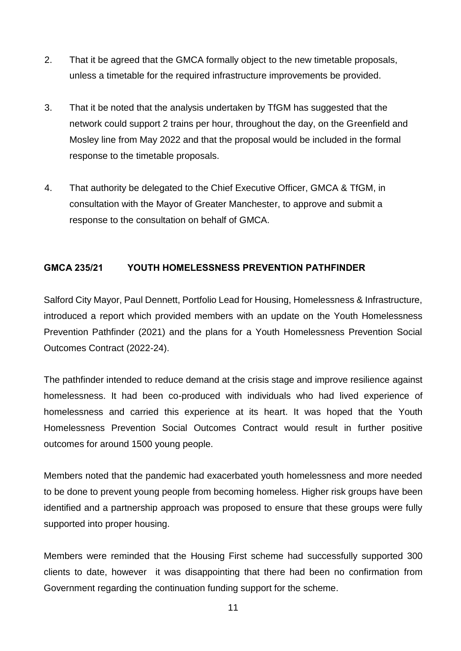- 2. That it be agreed that the GMCA formally object to the new timetable proposals, unless a timetable for the required infrastructure improvements be provided.
- 3. That it be noted that the analysis undertaken by TfGM has suggested that the network could support 2 trains per hour, throughout the day, on the Greenfield and Mosley line from May 2022 and that the proposal would be included in the formal response to the timetable proposals.
- 4. That authority be delegated to the Chief Executive Officer, GMCA & TfGM, in consultation with the Mayor of Greater Manchester, to approve and submit a response to the consultation on behalf of GMCA.

### **GMCA 235/21 YOUTH HOMELESSNESS PREVENTION PATHFINDER**

Salford City Mayor, Paul Dennett, Portfolio Lead for Housing, Homelessness & Infrastructure, introduced a report which provided members with an update on the Youth Homelessness Prevention Pathfinder (2021) and the plans for a Youth Homelessness Prevention Social Outcomes Contract (2022-24).

The pathfinder intended to reduce demand at the crisis stage and improve resilience against homelessness. It had been co-produced with individuals who had lived experience of homelessness and carried this experience at its heart. It was hoped that the Youth Homelessness Prevention Social Outcomes Contract would result in further positive outcomes for around 1500 young people.

Members noted that the pandemic had exacerbated youth homelessness and more needed to be done to prevent young people from becoming homeless. Higher risk groups have been identified and a partnership approach was proposed to ensure that these groups were fully supported into proper housing.

Members were reminded that the Housing First scheme had successfully supported 300 clients to date, however it was disappointing that there had been no confirmation from Government regarding the continuation funding support for the scheme.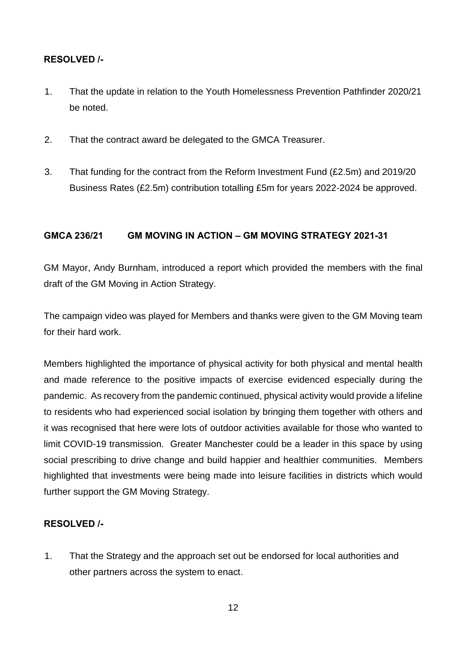### **RESOLVED /-**

- 1. That the update in relation to the Youth Homelessness Prevention Pathfinder 2020/21 be noted.
- 2. That the contract award be delegated to the GMCA Treasurer.
- 3. That funding for the contract from the Reform Investment Fund (£2.5m) and 2019/20 Business Rates (£2.5m) contribution totalling £5m for years 2022-2024 be approved.

#### **GMCA 236/21 GM MOVING IN ACTION – GM MOVING STRATEGY 2021-31**

GM Mayor, Andy Burnham, introduced a report which provided the members with the final draft of the GM Moving in Action Strategy.

The campaign video was played for Members and thanks were given to the GM Moving team for their hard work.

Members highlighted the importance of physical activity for both physical and mental health and made reference to the positive impacts of exercise evidenced especially during the pandemic. As recovery from the pandemic continued, physical activity would provide a lifeline to residents who had experienced social isolation by bringing them together with others and it was recognised that here were lots of outdoor activities available for those who wanted to limit COVID-19 transmission. Greater Manchester could be a leader in this space by using social prescribing to drive change and build happier and healthier communities. Members highlighted that investments were being made into leisure facilities in districts which would further support the GM Moving Strategy.

### **RESOLVED /-**

1. That the Strategy and the approach set out be endorsed for local authorities and other partners across the system to enact.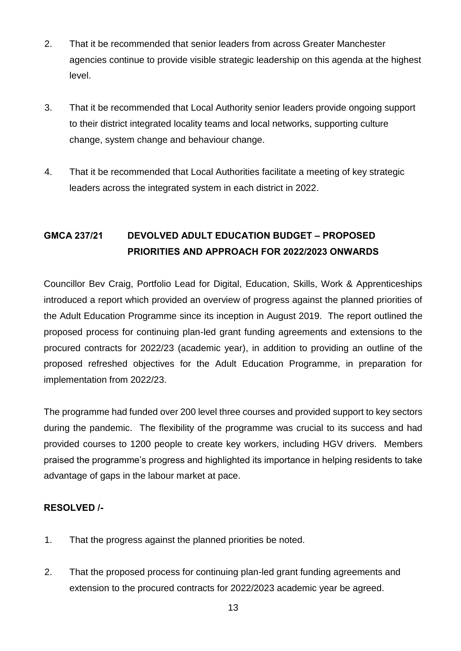- 2. That it be recommended that senior leaders from across Greater Manchester agencies continue to provide visible strategic leadership on this agenda at the highest level.
- 3. That it be recommended that Local Authority senior leaders provide ongoing support to their district integrated locality teams and local networks, supporting culture change, system change and behaviour change.
- 4. That it be recommended that Local Authorities facilitate a meeting of key strategic leaders across the integrated system in each district in 2022.

# **GMCA 237/21 DEVOLVED ADULT EDUCATION BUDGET – PROPOSED PRIORITIES AND APPROACH FOR 2022/2023 ONWARDS**

Councillor Bev Craig, Portfolio Lead for Digital, Education, Skills, Work & Apprenticeships introduced a report which provided an overview of progress against the planned priorities of the Adult Education Programme since its inception in August 2019. The report outlined the proposed process for continuing plan-led grant funding agreements and extensions to the procured contracts for 2022/23 (academic year), in addition to providing an outline of the proposed refreshed objectives for the Adult Education Programme, in preparation for implementation from 2022/23.

The programme had funded over 200 level three courses and provided support to key sectors during the pandemic. The flexibility of the programme was crucial to its success and had provided courses to 1200 people to create key workers, including HGV drivers. Members praised the programme's progress and highlighted its importance in helping residents to take advantage of gaps in the labour market at pace.

- 1. That the progress against the planned priorities be noted.
- 2. That the proposed process for continuing plan-led grant funding agreements and extension to the procured contracts for 2022/2023 academic year be agreed.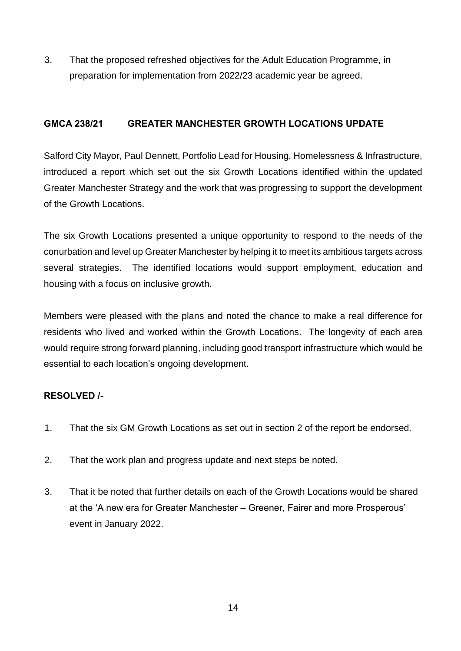3. That the proposed refreshed objectives for the Adult Education Programme, in preparation for implementation from 2022/23 academic year be agreed.

## **GMCA 238/21 GREATER MANCHESTER GROWTH LOCATIONS UPDATE**

Salford City Mayor, Paul Dennett, Portfolio Lead for Housing, Homelessness & Infrastructure, introduced a report which set out the six Growth Locations identified within the updated Greater Manchester Strategy and the work that was progressing to support the development of the Growth Locations.

The six Growth Locations presented a unique opportunity to respond to the needs of the conurbation and level up Greater Manchester by helping it to meet its ambitious targets across several strategies. The identified locations would support employment, education and housing with a focus on inclusive growth.

Members were pleased with the plans and noted the chance to make a real difference for residents who lived and worked within the Growth Locations. The longevity of each area would require strong forward planning, including good transport infrastructure which would be essential to each location's ongoing development.

- 1. That the six GM Growth Locations as set out in section 2 of the report be endorsed.
- 2. That the work plan and progress update and next steps be noted.
- 3. That it be noted that further details on each of the Growth Locations would be shared at the 'A new era for Greater Manchester – Greener, Fairer and more Prosperous' event in January 2022.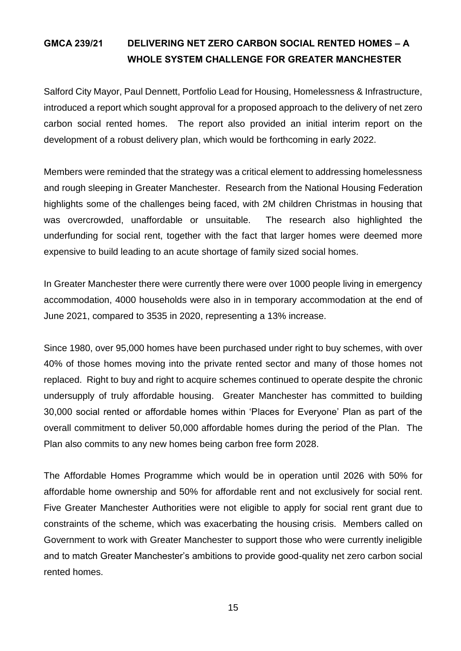# **GMCA 239/21 DELIVERING NET ZERO CARBON SOCIAL RENTED HOMES – A WHOLE SYSTEM CHALLENGE FOR GREATER MANCHESTER**

Salford City Mayor, Paul Dennett, Portfolio Lead for Housing, Homelessness & Infrastructure, introduced a report which sought approval for a proposed approach to the delivery of net zero carbon social rented homes. The report also provided an initial interim report on the development of a robust delivery plan, which would be forthcoming in early 2022.

Members were reminded that the strategy was a critical element to addressing homelessness and rough sleeping in Greater Manchester. Research from the National Housing Federation highlights some of the challenges being faced, with 2M children Christmas in housing that was overcrowded, unaffordable or unsuitable. The research also highlighted the underfunding for social rent, together with the fact that larger homes were deemed more expensive to build leading to an acute shortage of family sized social homes.

In Greater Manchester there were currently there were over 1000 people living in emergency accommodation, 4000 households were also in in temporary accommodation at the end of June 2021, compared to 3535 in 2020, representing a 13% increase.

Since 1980, over 95,000 homes have been purchased under right to buy schemes, with over 40% of those homes moving into the private rented sector and many of those homes not replaced. Right to buy and right to acquire schemes continued to operate despite the chronic undersupply of truly affordable housing. Greater Manchester has committed to building 30,000 social rented or affordable homes within 'Places for Everyone' Plan as part of the overall commitment to deliver 50,000 affordable homes during the period of the Plan. The Plan also commits to any new homes being carbon free form 2028.

The Affordable Homes Programme which would be in operation until 2026 with 50% for affordable home ownership and 50% for affordable rent and not exclusively for social rent. Five Greater Manchester Authorities were not eligible to apply for social rent grant due to constraints of the scheme, which was exacerbating the housing crisis. Members called on Government to work with Greater Manchester to support those who were currently ineligible and to match Greater Manchester's ambitions to provide good-quality net zero carbon social rented homes.

15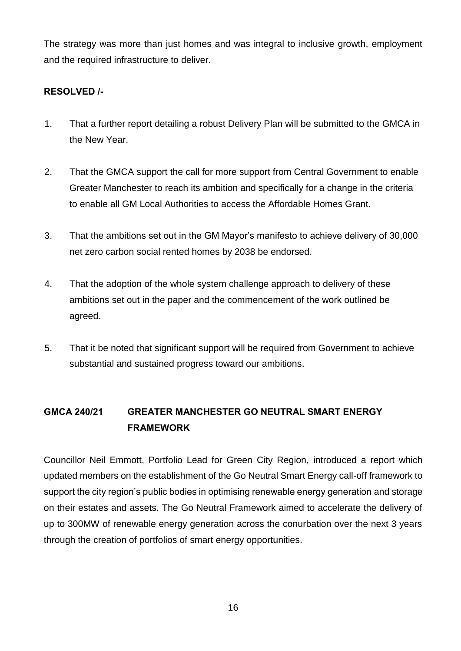The strategy was more than just homes and was integral to inclusive growth, employment and the required infrastructure to deliver.

### **RESOLVED /-**

- 1. That a further report detailing a robust Delivery Plan will be submitted to the GMCA in the New Year.
- 2. That the GMCA support the call for more support from Central Government to enable Greater Manchester to reach its ambition and specifically for a change in the criteria to enable all GM Local Authorities to access the Affordable Homes Grant.
- 3. That the ambitions set out in the GM Mayor's manifesto to achieve delivery of 30,000 net zero carbon social rented homes by 2038 be endorsed.
- 4. That the adoption of the whole system challenge approach to delivery of these ambitions set out in the paper and the commencement of the work outlined be agreed.
- 5. That it be noted that significant support will be required from Government to achieve substantial and sustained progress toward our ambitions.

# **GMCA 240/21 GREATER MANCHESTER GO NEUTRAL SMART ENERGY FRAMEWORK**

Councillor Neil Emmott, Portfolio Lead for Green City Region, introduced a report which updated members on the establishment of the Go Neutral Smart Energy call-off framework to support the city region's public bodies in optimising renewable energy generation and storage on their estates and assets. The Go Neutral Framework aimed to accelerate the delivery of up to 300MW of renewable energy generation across the conurbation over the next 3 years through the creation of portfolios of smart energy opportunities.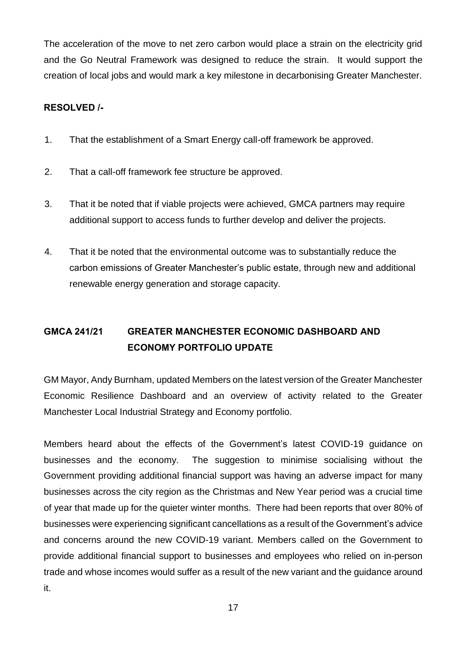The acceleration of the move to net zero carbon would place a strain on the electricity grid and the Go Neutral Framework was designed to reduce the strain. It would support the creation of local jobs and would mark a key milestone in decarbonising Greater Manchester.

### **RESOLVED /-**

- 1. That the establishment of a Smart Energy call-off framework be approved.
- 2. That a call-off framework fee structure be approved.
- 3. That it be noted that if viable projects were achieved, GMCA partners may require additional support to access funds to further develop and deliver the projects.
- 4. That it be noted that the environmental outcome was to substantially reduce the carbon emissions of Greater Manchester's public estate, through new and additional renewable energy generation and storage capacity.

# **GMCA 241/21 GREATER MANCHESTER ECONOMIC DASHBOARD AND ECONOMY PORTFOLIO UPDATE**

GM Mayor, Andy Burnham, updated Members on the latest version of the Greater Manchester Economic Resilience Dashboard and an overview of activity related to the Greater Manchester Local Industrial Strategy and Economy portfolio.

Members heard about the effects of the Government's latest COVID-19 guidance on businesses and the economy. The suggestion to minimise socialising without the Government providing additional financial support was having an adverse impact for many businesses across the city region as the Christmas and New Year period was a crucial time of year that made up for the quieter winter months. There had been reports that over 80% of businesses were experiencing significant cancellations as a result of the Government's advice and concerns around the new COVID-19 variant. Members called on the Government to provide additional financial support to businesses and employees who relied on in-person trade and whose incomes would suffer as a result of the new variant and the guidance around it.

17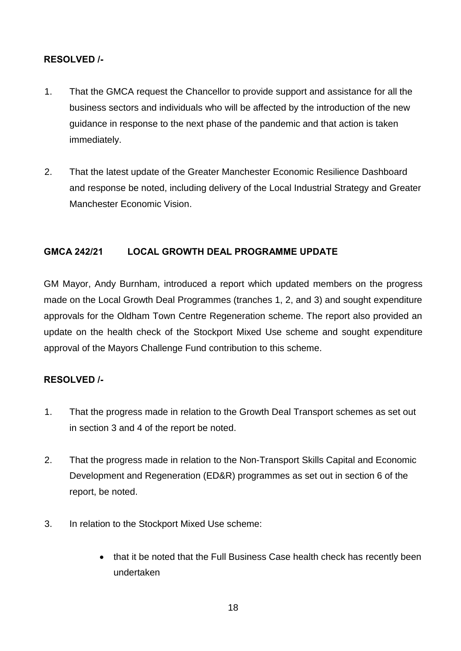### **RESOLVED /-**

- 1. That the GMCA request the Chancellor to provide support and assistance for all the business sectors and individuals who will be affected by the introduction of the new guidance in response to the next phase of the pandemic and that action is taken immediately.
- 2. That the latest update of the Greater Manchester Economic Resilience Dashboard and response be noted, including delivery of the Local Industrial Strategy and Greater Manchester Economic Vision.

## **GMCA 242/21 LOCAL GROWTH DEAL PROGRAMME UPDATE**

GM Mayor, Andy Burnham, introduced a report which updated members on the progress made on the Local Growth Deal Programmes (tranches 1, 2, and 3) and sought expenditure approvals for the Oldham Town Centre Regeneration scheme. The report also provided an update on the health check of the Stockport Mixed Use scheme and sought expenditure approval of the Mayors Challenge Fund contribution to this scheme.

- 1. That the progress made in relation to the Growth Deal Transport schemes as set out in section 3 and 4 of the report be noted.
- 2. That the progress made in relation to the Non-Transport Skills Capital and Economic Development and Regeneration (ED&R) programmes as set out in section 6 of the report, be noted.
- 3. In relation to the Stockport Mixed Use scheme:
	- that it be noted that the Full Business Case health check has recently been undertaken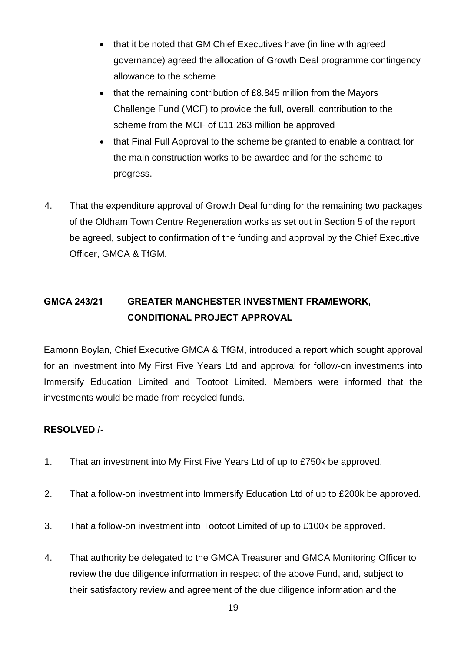- that it be noted that GM Chief Executives have (in line with agreed governance) agreed the allocation of Growth Deal programme contingency allowance to the scheme
- that the remaining contribution of £8.845 million from the Mayors Challenge Fund (MCF) to provide the full, overall, contribution to the scheme from the MCF of £11.263 million be approved
- that Final Full Approval to the scheme be granted to enable a contract for the main construction works to be awarded and for the scheme to progress.
- 4. That the expenditure approval of Growth Deal funding for the remaining two packages of the Oldham Town Centre Regeneration works as set out in Section 5 of the report be agreed, subject to confirmation of the funding and approval by the Chief Executive Officer, GMCA & TfGM.

# **GMCA 243/21 GREATER MANCHESTER INVESTMENT FRAMEWORK, CONDITIONAL PROJECT APPROVAL**

Eamonn Boylan, Chief Executive GMCA & TfGM, introduced a report which sought approval for an investment into My First Five Years Ltd and approval for follow-on investments into Immersify Education Limited and Tootoot Limited. Members were informed that the investments would be made from recycled funds.

- 1. That an investment into My First Five Years Ltd of up to £750k be approved.
- 2. That a follow-on investment into Immersify Education Ltd of up to £200k be approved.
- 3. That a follow-on investment into Tootoot Limited of up to £100k be approved.
- 4. That authority be delegated to the GMCA Treasurer and GMCA Monitoring Officer to review the due diligence information in respect of the above Fund, and, subject to their satisfactory review and agreement of the due diligence information and the